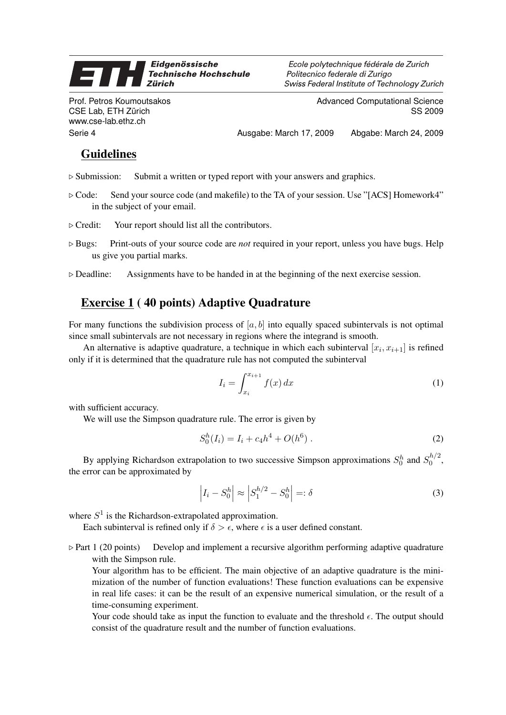## Eidgenössische **27 A Technische Hochschule Zürich**

Prof. Petros Koumoutsakos CSE Lab, ETH Zürich www.cse-lab.ethz.ch

Ecole polytechnique fédérale de Zurich Politecnico federale di Zurigo Swiss Federal Institute of Technology Zurich

> Advanced Computational Science SS 2009

Serie 4 Ausgabe: March 17, 2009 Abgabe: March 24, 2009

## Guidelines

- $\triangleright$  Submission: Submit a written or typed report with your answers and graphics.
- $\triangleright$  Code: Send your source code (and makefile) to the TA of your session. Use "[ACS] Homework4" in the subject of your email.
- $\triangleright$  Credit: Your report should list all the contributors.
- . Bugs: Print-outs of your source code are *not* required in your report, unless you have bugs. Help us give you partial marks.
- $\triangleright$  Deadline: Assignments have to be handed in at the beginning of the next exercise session.

## Exercise 1 ( 40 points) Adaptive Quadrature

For many functions the subdivision process of  $[a, b]$  into equally spaced subintervals is not optimal since small subintervals are not necessary in regions where the integrand is smooth.

An alternative is adaptive quadrature, a technique in which each subinterval  $[x_i, x_{i+1}]$  is refined only if it is determined that the quadrature rule has not computed the subinterval

$$
I_i = \int_{x_i}^{x_{i+1}} f(x) dx \tag{1}
$$

with sufficient accuracy.

We will use the Simpson quadrature rule. The error is given by

$$
S_0^h(I_i) = I_i + c_4 h^4 + O(h^6) \tag{2}
$$

By applying Richardson extrapolation to two successive Simpson approximations  $S_0^h$  and  $S_0^{h/2}$  $\int_0^{n/2}$ the error can be approximated by

$$
\left| I_i - S_0^h \right| \approx \left| S_1^{h/2} - S_0^h \right| =: \delta \tag{3}
$$

where  $S<sup>1</sup>$  is the Richardson-extrapolated approximation.

Each subinterval is refined only if  $\delta > \epsilon$ , where  $\epsilon$  is a user defined constant.

 $\triangleright$  Part 1 (20 points) Develop and implement a recursive algorithm performing adaptive quadrature with the Simpson rule.

Your algorithm has to be efficient. The main objective of an adaptive quadrature is the minimization of the number of function evaluations! These function evaluations can be expensive in real life cases: it can be the result of an expensive numerical simulation, or the result of a time-consuming experiment.

Your code should take as input the function to evaluate and the threshold  $\epsilon$ . The output should consist of the quadrature result and the number of function evaluations.